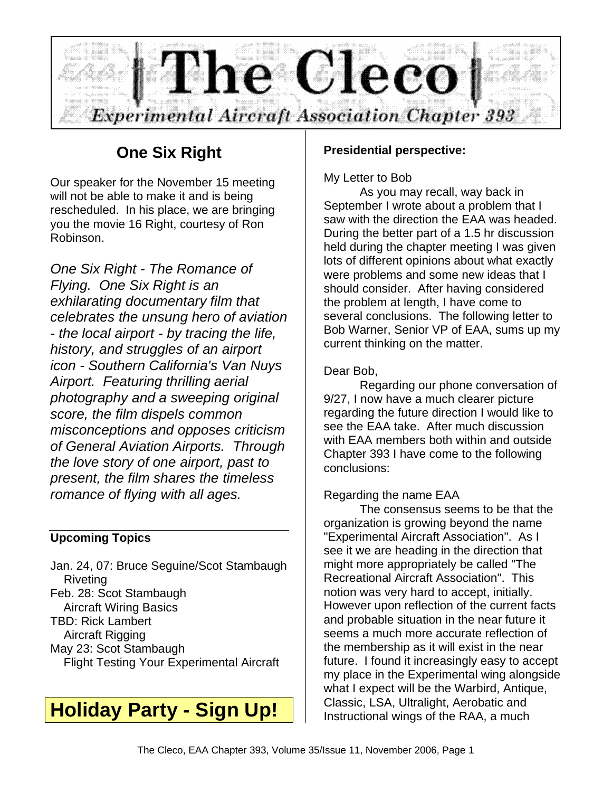

## **One Six Right**

Our speaker for the November 15 meeting will not be able to make it and is being rescheduled. In his place, we are bringing you the movie 16 Right, courtesy of Ron Robinson.

*One Six Right - The Romance of Flying. One Six Right is an exhilarating documentary film that celebrates the unsung hero of aviation - the local airport - by tracing the life, history, and struggles of an airport icon - Southern California's Van Nuys Airport. Featuring thrilling aerial photography and a sweeping original score, the film dispels common misconceptions and opposes criticism of General Aviation Airports. Through the love story of one airport, past to present, the film shares the timeless romance of flying with all ages.*

#### **Upcoming Topics**

Jan. 24, 07: Bruce Seguine/Scot Stambaugh Riveting Feb. 28: Scot Stambaugh Aircraft Wiring Basics TBD: Rick Lambert Aircraft Rigging May 23: Scot Stambaugh Flight Testing Your Experimental Aircraft

## **Holiday Party - Sign Up!**

#### **Presidential perspective:**

#### My Letter to Bob

As you may recall, way back in September I wrote about a problem that I saw with the direction the EAA was headed. During the better part of a 1.5 hr discussion held during the chapter meeting I was given lots of different opinions about what exactly were problems and some new ideas that I should consider. After having considered the problem at length, I have come to several conclusions. The following letter to Bob Warner, Senior VP of EAA, sums up my current thinking on the matter.

#### Dear Bob,

Regarding our phone conversation of 9/27, I now have a much clearer picture regarding the future direction I would like to see the EAA take. After much discussion with EAA members both within and outside Chapter 393 I have come to the following conclusions:

#### Regarding the name EAA

The consensus seems to be that the organization is growing beyond the name "Experimental Aircraft Association". As I see it we are heading in the direction that might more appropriately be called "The Recreational Aircraft Association". This notion was very hard to accept, initially. However upon reflection of the current facts and probable situation in the near future it seems a much more accurate reflection of the membership as it will exist in the near future. I found it increasingly easy to accept my place in the Experimental wing alongside what I expect will be the Warbird, Antique, Classic, LSA, Ultralight, Aerobatic and Instructional wings of the RAA, a much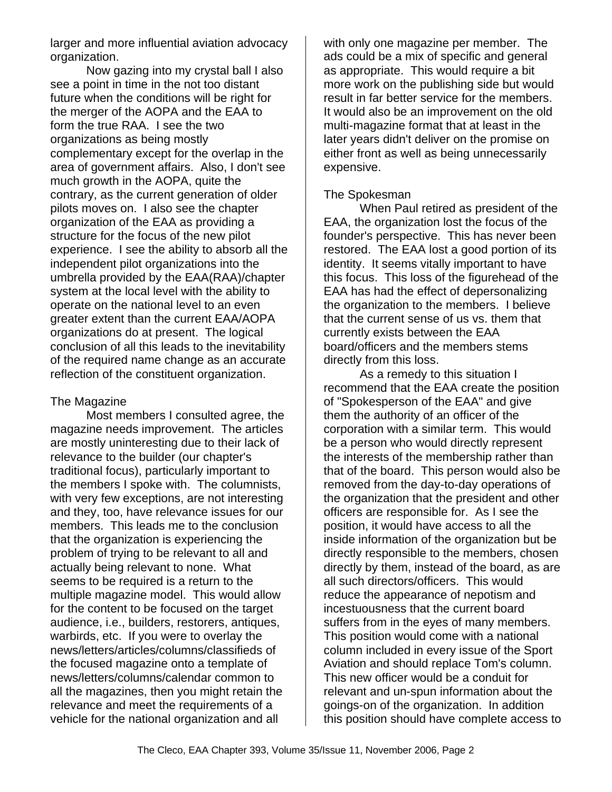larger and more influential aviation advocacy organization.

Now gazing into my crystal ball I also see a point in time in the not too distant future when the conditions will be right for the merger of the AOPA and the EAA to form the true RAA. I see the two organizations as being mostly complementary except for the overlap in the area of government affairs. Also, I don't see much growth in the AOPA, quite the contrary, as the current generation of older pilots moves on. I also see the chapter organization of the EAA as providing a structure for the focus of the new pilot experience. I see the ability to absorb all the independent pilot organizations into the umbrella provided by the EAA(RAA)/chapter system at the local level with the ability to operate on the national level to an even greater extent than the current EAA/AOPA organizations do at present. The logical conclusion of all this leads to the inevitability of the required name change as an accurate reflection of the constituent organization.

#### The Magazine

Most members I consulted agree, the magazine needs improvement. The articles are mostly uninteresting due to their lack of relevance to the builder (our chapter's traditional focus), particularly important to the members I spoke with. The columnists, with very few exceptions, are not interesting and they, too, have relevance issues for our members. This leads me to the conclusion that the organization is experiencing the problem of trying to be relevant to all and actually being relevant to none. What seems to be required is a return to the multiple magazine model. This would allow for the content to be focused on the target audience, i.e., builders, restorers, antiques, warbirds, etc. If you were to overlay the news/letters/articles/columns/classifieds of the focused magazine onto a template of news/letters/columns/calendar common to all the magazines, then you might retain the relevance and meet the requirements of a vehicle for the national organization and all

with only one magazine per member. The ads could be a mix of specific and general as appropriate. This would require a bit more work on the publishing side but would result in far better service for the members. It would also be an improvement on the old multi-magazine format that at least in the later years didn't deliver on the promise on either front as well as being unnecessarily expensive.

#### The Spokesman

When Paul retired as president of the EAA, the organization lost the focus of the founder's perspective. This has never been restored. The EAA lost a good portion of its identity. It seems vitally important to have this focus. This loss of the figurehead of the EAA has had the effect of depersonalizing the organization to the members. I believe that the current sense of us vs. them that currently exists between the EAA board/officers and the members stems directly from this loss.

As a remedy to this situation I recommend that the EAA create the position of "Spokesperson of the EAA" and give them the authority of an officer of the corporation with a similar term. This would be a person who would directly represent the interests of the membership rather than that of the board. This person would also be removed from the day-to-day operations of the organization that the president and other officers are responsible for. As I see the position, it would have access to all the inside information of the organization but be directly responsible to the members, chosen directly by them, instead of the board, as are all such directors/officers. This would reduce the appearance of nepotism and incestuousness that the current board suffers from in the eyes of many members. This position would come with a national column included in every issue of the Sport Aviation and should replace Tom's column. This new officer would be a conduit for relevant and un-spun information about the goings-on of the organization. In addition this position should have complete access to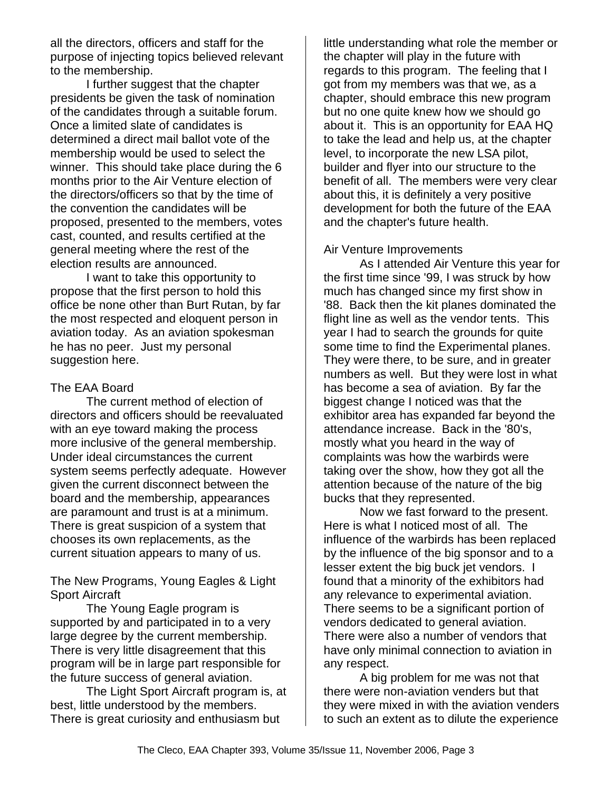all the directors, officers and staff for the purpose of injecting topics believed relevant to the membership.

I further suggest that the chapter presidents be given the task of nomination of the candidates through a suitable forum. Once a limited slate of candidates is determined a direct mail ballot vote of the membership would be used to select the winner. This should take place during the 6 months prior to the Air Venture election of the directors/officers so that by the time of the convention the candidates will be proposed, presented to the members, votes cast, counted, and results certified at the general meeting where the rest of the election results are announced.

I want to take this opportunity to propose that the first person to hold this office be none other than Burt Rutan, by far the most respected and eloquent person in aviation today. As an aviation spokesman he has no peer. Just my personal suggestion here.

#### The EAA Board

The current method of election of directors and officers should be reevaluated with an eye toward making the process more inclusive of the general membership. Under ideal circumstances the current system seems perfectly adequate. However given the current disconnect between the board and the membership, appearances are paramount and trust is at a minimum. There is great suspicion of a system that chooses its own replacements, as the current situation appears to many of us.

The New Programs, Young Eagles & Light Sport Aircraft

The Young Eagle program is supported by and participated in to a very large degree by the current membership. There is very little disagreement that this program will be in large part responsible for the future success of general aviation.

The Light Sport Aircraft program is, at best, little understood by the members. There is great curiosity and enthusiasm but

little understanding what role the member or the chapter will play in the future with regards to this program. The feeling that I got from my members was that we, as a chapter, should embrace this new program but no one quite knew how we should go about it. This is an opportunity for EAA HQ to take the lead and help us, at the chapter level, to incorporate the new LSA pilot, builder and flyer into our structure to the benefit of all. The members were very clear about this, it is definitely a very positive development for both the future of the EAA and the chapter's future health.

#### Air Venture Improvements

As I attended Air Venture this year for the first time since '99, I was struck by how much has changed since my first show in '88. Back then the kit planes dominated the flight line as well as the vendor tents. This year I had to search the grounds for quite some time to find the Experimental planes. They were there, to be sure, and in greater numbers as well. But they were lost in what has become a sea of aviation. By far the biggest change I noticed was that the exhibitor area has expanded far beyond the attendance increase. Back in the '80's, mostly what you heard in the way of complaints was how the warbirds were taking over the show, how they got all the attention because of the nature of the big bucks that they represented.

Now we fast forward to the present. Here is what I noticed most of all. The influence of the warbirds has been replaced by the influence of the big sponsor and to a lesser extent the big buck jet vendors. I found that a minority of the exhibitors had any relevance to experimental aviation. There seems to be a significant portion of vendors dedicated to general aviation. There were also a number of vendors that have only minimal connection to aviation in any respect.

A big problem for me was not that there were non-aviation venders but that they were mixed in with the aviation venders to such an extent as to dilute the experience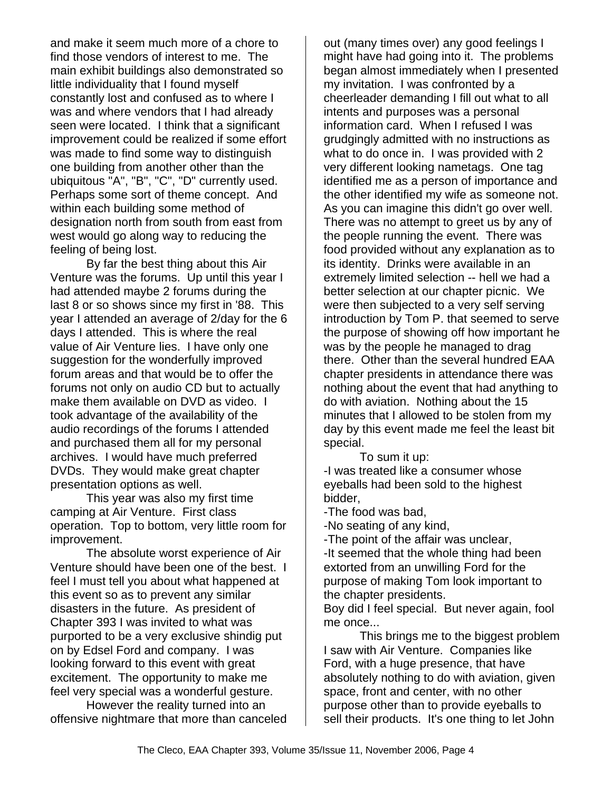and make it seem much more of a chore to find those vendors of interest to me. The main exhibit buildings also demonstrated so little individuality that I found myself constantly lost and confused as to where I was and where vendors that I had already seen were located. I think that a significant improvement could be realized if some effort was made to find some way to distinguish one building from another other than the ubiquitous "A", "B", "C", "D" currently used. Perhaps some sort of theme concept. And within each building some method of designation north from south from east from west would go along way to reducing the feeling of being lost.

By far the best thing about this Air Venture was the forums. Up until this year I had attended maybe 2 forums during the last 8 or so shows since my first in '88. This year I attended an average of 2/day for the 6 days I attended. This is where the real value of Air Venture lies. I have only one suggestion for the wonderfully improved forum areas and that would be to offer the forums not only on audio CD but to actually make them available on DVD as video. I took advantage of the availability of the audio recordings of the forums I attended and purchased them all for my personal archives. I would have much preferred DVDs. They would make great chapter presentation options as well.

This year was also my first time camping at Air Venture. First class operation. Top to bottom, very little room for improvement.

The absolute worst experience of Air Venture should have been one of the best. I feel I must tell you about what happened at this event so as to prevent any similar disasters in the future. As president of Chapter 393 I was invited to what was purported to be a very exclusive shindig put on by Edsel Ford and company. I was looking forward to this event with great excitement. The opportunity to make me feel very special was a wonderful gesture.

However the reality turned into an offensive nightmare that more than canceled out (many times over) any good feelings I might have had going into it. The problems began almost immediately when I presented my invitation. I was confronted by a cheerleader demanding I fill out what to all intents and purposes was a personal information card. When I refused I was grudgingly admitted with no instructions as what to do once in. I was provided with 2 very different looking nametags. One tag identified me as a person of importance and the other identified my wife as someone not. As you can imagine this didn't go over well. There was no attempt to greet us by any of the people running the event. There was food provided without any explanation as to its identity. Drinks were available in an extremely limited selection -- hell we had a better selection at our chapter picnic. We were then subjected to a very self serving introduction by Tom P. that seemed to serve the purpose of showing off how important he was by the people he managed to drag there. Other than the several hundred EAA chapter presidents in attendance there was nothing about the event that had anything to do with aviation. Nothing about the 15 minutes that I allowed to be stolen from my day by this event made me feel the least bit special.

To sum it up: -I was treated like a consumer whose eyeballs had been sold to the highest bidder,

-The food was bad,

-No seating of any kind,

-The point of the affair was unclear, -It seemed that the whole thing had been extorted from an unwilling Ford for the purpose of making Tom look important to the chapter presidents.

Boy did I feel special. But never again, fool me once...

This brings me to the biggest problem I saw with Air Venture. Companies like Ford, with a huge presence, that have absolutely nothing to do with aviation, given space, front and center, with no other purpose other than to provide eyeballs to sell their products. It's one thing to let John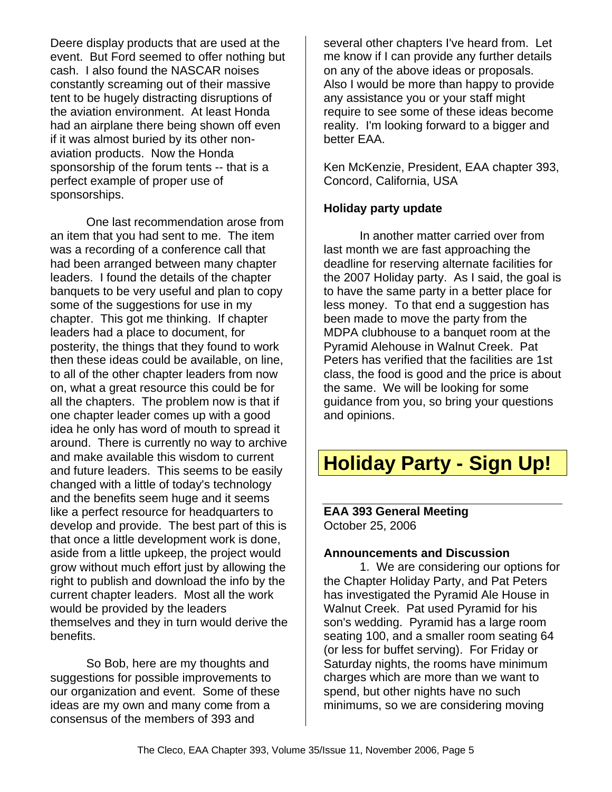Deere display products that are used at the event. But Ford seemed to offer nothing but cash. I also found the NASCAR noises constantly screaming out of their massive tent to be hugely distracting disruptions of the aviation environment. At least Honda had an airplane there being shown off even if it was almost buried by its other nonaviation products. Now the Honda sponsorship of the forum tents -- that is a perfect example of proper use of sponsorships.

One last recommendation arose from an item that you had sent to me. The item was a recording of a conference call that had been arranged between many chapter leaders. I found the details of the chapter banquets to be very useful and plan to copy some of the suggestions for use in my chapter. This got me thinking. If chapter leaders had a place to document, for posterity, the things that they found to work then these ideas could be available, on line, to all of the other chapter leaders from now on, what a great resource this could be for all the chapters. The problem now is that if one chapter leader comes up with a good idea he only has word of mouth to spread it around. There is currently no way to archive and make available this wisdom to current and future leaders. This seems to be easily changed with a little of today's technology and the benefits seem huge and it seems like a perfect resource for headquarters to develop and provide. The best part of this is that once a little development work is done, aside from a little upkeep, the project would grow without much effort just by allowing the right to publish and download the info by the current chapter leaders. Most all the work would be provided by the leaders themselves and they in turn would derive the benefits.

So Bob, here are my thoughts and suggestions for possible improvements to our organization and event. Some of these ideas are my own and many come from a consensus of the members of 393 and

several other chapters I've heard from. Let me know if I can provide any further details on any of the above ideas or proposals. Also I would be more than happy to provide any assistance you or your staff might require to see some of these ideas become reality. I'm looking forward to a bigger and better EAA.

Ken McKenzie, President, EAA chapter 393, Concord, California, USA

#### **Holiday party update**

In another matter carried over from last month we are fast approaching the deadline for reserving alternate facilities for the 2007 Holiday party. As I said, the goal is to have the same party in a better place for less money. To that end a suggestion has been made to move the party from the MDPA clubhouse to a banquet room at the Pyramid Alehouse in Walnut Creek. Pat Peters has verified that the facilities are 1st class, the food is good and the price is about the same. We will be looking for some guidance from you, so bring your questions and opinions.

# **Holiday Party - Sign Up!**

**EAA 393 General Meeting** October 25, 2006

#### **Announcements and Discussion**

1. We are considering our options for the Chapter Holiday Party, and Pat Peters has investigated the Pyramid Ale House in Walnut Creek. Pat used Pyramid for his son's wedding. Pyramid has a large room seating 100, and a smaller room seating 64 (or less for buffet serving). For Friday or Saturday nights, the rooms have minimum charges which are more than we want to spend, but other nights have no such minimums, so we are considering moving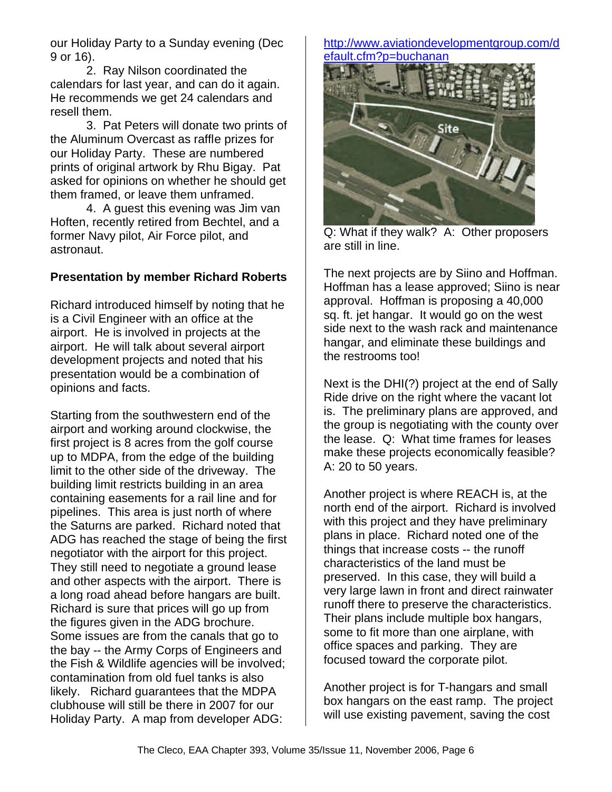our Holiday Party to a Sunday evening (Dec 9 or 16).

2. Ray Nilson coordinated the calendars for last year, and can do it again. He recommends we get 24 calendars and resell them.

3. Pat Peters will donate two prints of the Aluminum Overcast as raffle prizes for our Holiday Party. These are numbered prints of original artwork by Rhu Bigay. Pat asked for opinions on whether he should get them framed, or leave them unframed.

4. A guest this evening was Jim van Hoften, recently retired from Bechtel, and a former Navy pilot, Air Force pilot, and astronaut.

#### **Presentation by member Richard Roberts**

Richard introduced himself by noting that he is a Civil Engineer with an office at the airport. He is involved in projects at the airport. He will talk about several airport development projects and noted that his presentation would be a combination of opinions and facts.

Starting from the southwestern end of the airport and working around clockwise, the first project is 8 acres from the golf course up to MDPA, from the edge of the building limit to the other side of the driveway. The building limit restricts building in an area containing easements for a rail line and for pipelines. This area is just north of where the Saturns are parked. Richard noted that ADG has reached the stage of being the first negotiator with the airport for this project. They still need to negotiate a ground lease and other aspects with the airport. There is a long road ahead before hangars are built. Richard is sure that prices will go up from the figures given in the ADG brochure. Some issues are from the canals that go to the bay -- the Army Corps of Engineers and the Fish & Wildlife agencies will be involved; contamination from old fuel tanks is also likely. Richard guarantees that the MDPA clubhouse will still be there in 2007 for our Holiday Party. A map from developer ADG:

#### http://www.aviationdevelopmentgroup.com/d efault.cfm?p=buchanan



Q: What if they walk? A: Other proposers are still in line.

The next projects are by Siino and Hoffman. Hoffman has a lease approved; Siino is near approval. Hoffman is proposing a 40,000 sq. ft. jet hangar. It would go on the west side next to the wash rack and maintenance hangar, and eliminate these buildings and the restrooms too!

Next is the DHI(?) project at the end of Sally Ride drive on the right where the vacant lot is. The preliminary plans are approved, and the group is negotiating with the county over the lease. Q: What time frames for leases make these projects economically feasible? A: 20 to 50 years.

Another project is where REACH is, at the north end of the airport. Richard is involved with this project and they have preliminary plans in place. Richard noted one of the things that increase costs -- the runoff characteristics of the land must be preserved. In this case, they will build a very large lawn in front and direct rainwater runoff there to preserve the characteristics. Their plans include multiple box hangars, some to fit more than one airplane, with office spaces and parking. They are focused toward the corporate pilot.

Another project is for T-hangars and small box hangars on the east ramp. The project will use existing pavement, saving the cost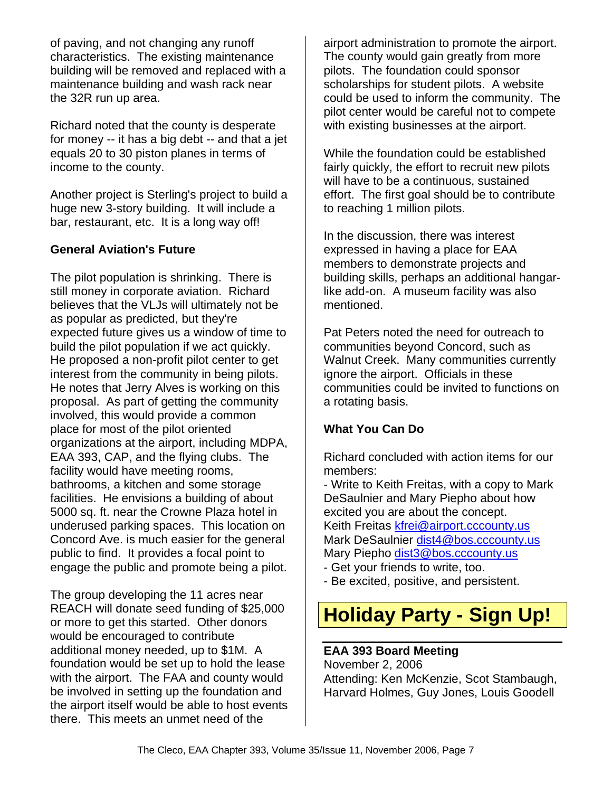of paving, and not changing any runoff characteristics. The existing maintenance building will be removed and replaced with a maintenance building and wash rack near the 32R run up area.

Richard noted that the county is desperate for money -- it has a big debt -- and that a jet equals 20 to 30 piston planes in terms of income to the county.

Another project is Sterling's project to build a huge new 3-story building. It will include a bar, restaurant, etc. It is a long way off!

#### **General Aviation's Future**

The pilot population is shrinking. There is still money in corporate aviation. Richard believes that the VLJs will ultimately not be as popular as predicted, but they're expected future gives us a window of time to build the pilot population if we act quickly. He proposed a non-profit pilot center to get interest from the community in being pilots. He notes that Jerry Alves is working on this proposal. As part of getting the community involved, this would provide a common place for most of the pilot oriented organizations at the airport, including MDPA, EAA 393, CAP, and the flying clubs. The facility would have meeting rooms, bathrooms, a kitchen and some storage facilities. He envisions a building of about 5000 sq. ft. near the Crowne Plaza hotel in underused parking spaces. This location on Concord Ave. is much easier for the general public to find. It provides a focal point to engage the public and promote being a pilot.

The group developing the 11 acres near REACH will donate seed funding of \$25,000 or more to get this started. Other donors would be encouraged to contribute additional money needed, up to \$1M. A foundation would be set up to hold the lease with the airport. The FAA and county would be involved in setting up the foundation and the airport itself would be able to host events there. This meets an unmet need of the

airport administration to promote the airport. The county would gain greatly from more pilots. The foundation could sponsor scholarships for student pilots. A website could be used to inform the community. The pilot center would be careful not to compete with existing businesses at the airport.

While the foundation could be established fairly quickly, the effort to recruit new pilots will have to be a continuous, sustained effort. The first goal should be to contribute to reaching 1 million pilots.

In the discussion, there was interest expressed in having a place for EAA members to demonstrate projects and building skills, perhaps an additional hangarlike add-on. A museum facility was also mentioned.

Pat Peters noted the need for outreach to communities beyond Concord, such as Walnut Creek. Many communities currently ignore the airport. Officials in these communities could be invited to functions on a rotating basis.

#### **What You Can Do**

Richard concluded with action items for our members:

- Write to Keith Freitas, with a copy to Mark DeSaulnier and Mary Piepho about how excited you are about the concept. Keith Freitas kfrei@airport.cccounty.us Mark DeSaulnier dist4@bos.cccounty.us Mary Piepho dist3@bos.cccounty.us

- Get your friends to write, too.
- Be excited, positive, and persistent.

# **Holiday Party - Sign Up!**

#### **EAA 393 Board Meeting**

November 2, 2006 Attending: Ken McKenzie, Scot Stambaugh, Harvard Holmes, Guy Jones, Louis Goodell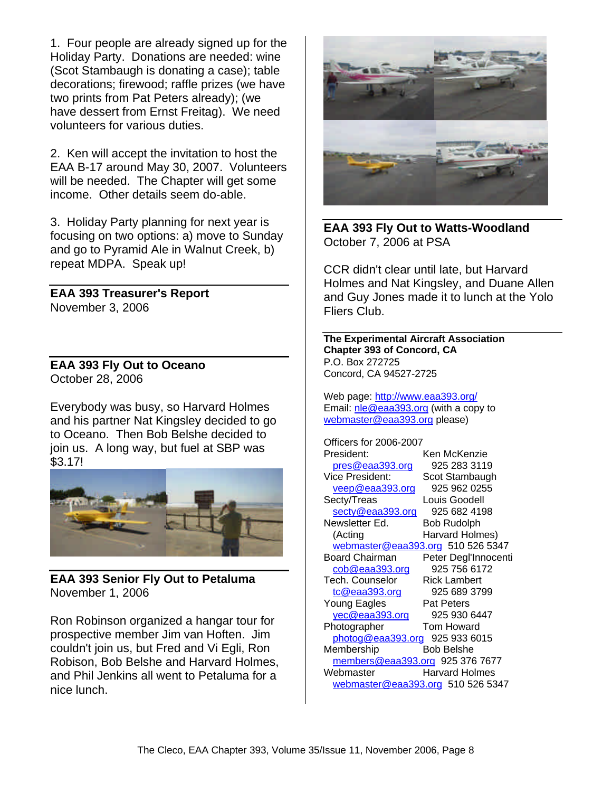1. Four people are already signed up for the Holiday Party. Donations are needed: wine (Scot Stambaugh is donating a case); table decorations; firewood; raffle prizes (we have two prints from Pat Peters already); (we have dessert from Ernst Freitag). We need volunteers for various duties.

2. Ken will accept the invitation to host the EAA B-17 around May 30, 2007. Volunteers will be needed. The Chapter will get some income. Other details seem do-able.

3. Holiday Party planning for next year is focusing on two options: a) move to Sunday and go to Pyramid Ale in Walnut Creek, b) repeat MDPA. Speak up!

**EAA 393 Treasurer's Report** November 3, 2006

**EAA 393 Fly Out to Oceano** October 28, 2006

Everybody was busy, so Harvard Holmes and his partner Nat Kingsley decided to go to Oceano. Then Bob Belshe decided to join us. A long way, but fuel at SBP was \$3.17!



**EAA 393 Senior Fly Out to Petaluma** November 1, 2006

Ron Robinson organized a hangar tour for prospective member Jim van Hoften. Jim couldn't join us, but Fred and Vi Egli, Ron Robison, Bob Belshe and Harvard Holmes, and Phil Jenkins all went to Petaluma for a nice lunch.



**EAA 393 Fly Out to Watts-Woodland** October 7, 2006 at PSA

CCR didn't clear until late, but Harvard Holmes and Nat Kingsley, and Duane Allen and Guy Jones made it to lunch at the Yolo Fliers Club.

**The Experimental Aircraft Association Chapter 393 of Concord, CA** P.O. Box 272725 Concord, CA 94527-2725

Web page: http://www.eaa393.org/ Email: nle@eaa393.org (with a copy to webmaster@eaa393.org please)

Officers for 2006-2007 President: Ken McKenzie pres@eaa393.org 925 283 3119 Vice President: Scot Stambaugh veep@eaa393.org 925 962 0255<br>ectv/Treas Louis Goodell Secty/Treas secty@eaa393.org 925 682 4198 Newsletter Ed. Bob Rudolph<br>
(Acting Harvard Holm Harvard Holmes) webmaster@eaa393.org 510 526 5347 Board Chairman Peter Degl'Innocenti cob@eaa393.org 925 756 6172 Tech. Counselor Rick Lambert tc@eaa393.org 925 689 3799 Young Eagles **Pat Peters** yec@eaa393.org 925 930 6447 Photographer Tom Howard photog@eaa393.org 925 933 6015 Membership Bob Belshe members@eaa393.org 925 376 7677 Webmaster **Harvard Holmes** webmaster@eaa393.org 510 526 5347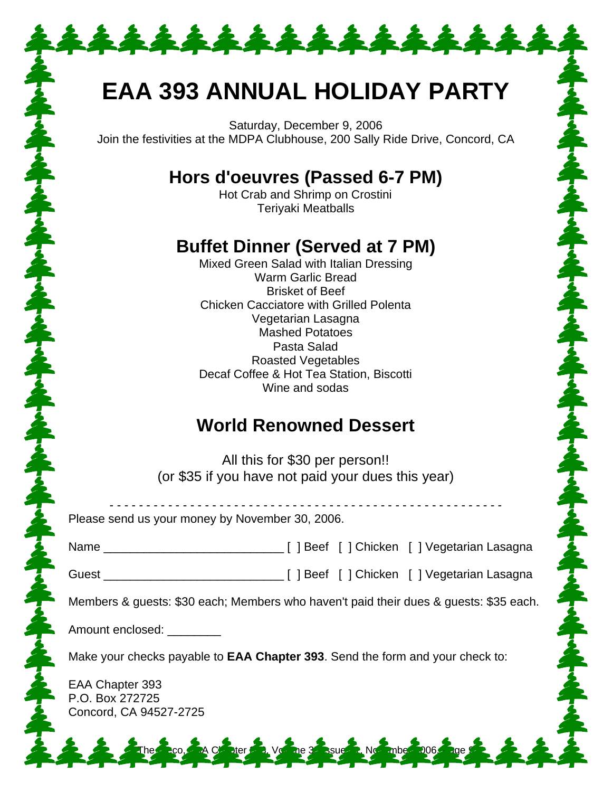# **EAA 393 ANNUAL HOLIDAY PARTY**

\*\*\*\*\*\*\*\*\*\*\*\*\*

Saturday, December 9, 2006 Join the festivities at the MDPA Clubhouse, 200 Sally Ride Drive, Concord, CA

## **Hors d'oeuvres (Passed 6-7 PM)**

Hot Crab and Shrimp on Crostini Teriyaki Meatballs

## **Buffet Dinner (Served at 7 PM)**

Mixed Green Salad with Italian Dressing Warm Garlic Bread Brisket of Beef Chicken Cacciatore with Grilled Polenta Vegetarian Lasagna Mashed Potatoes Pasta Salad Roasted Vegetables Decaf Coffee & Hot Tea Station, Biscotti Wine and sodas

## **World Renowned Dessert**

する今はるから今は今でも今はあから今はら今はあから今は今でも今はあから今に

All this for \$30 per person!! (or \$35 if you have not paid your dues this year)

| Please send us your money by November 30, 2006.                                                                                                                                                                                      |  |
|--------------------------------------------------------------------------------------------------------------------------------------------------------------------------------------------------------------------------------------|--|
|                                                                                                                                                                                                                                      |  |
|                                                                                                                                                                                                                                      |  |
| Members & guests: \$30 each; Members who haven't paid their dues & guests: \$35 each.                                                                                                                                                |  |
| Amount enclosed: <u>New York and State and State and State and State and State and State and State and State and State and State and State and State and State and State and State and State and State and State and State and S</u> |  |
| Make your checks payable to <b>EAA Chapter 393</b> . Send the form and your check to:                                                                                                                                                |  |
| EAA Chapter 393<br>P.O. Box 272725<br>Concord, CA 94527-2725                                                                                                                                                                         |  |
| 2 2 2 The 2co, 2A Conter 2 Voltage 3 Ssues Not mbe 2006 2ge 2 2 2                                                                                                                                                                    |  |

うんすうへん けんぺん けんぺいしんぷりん